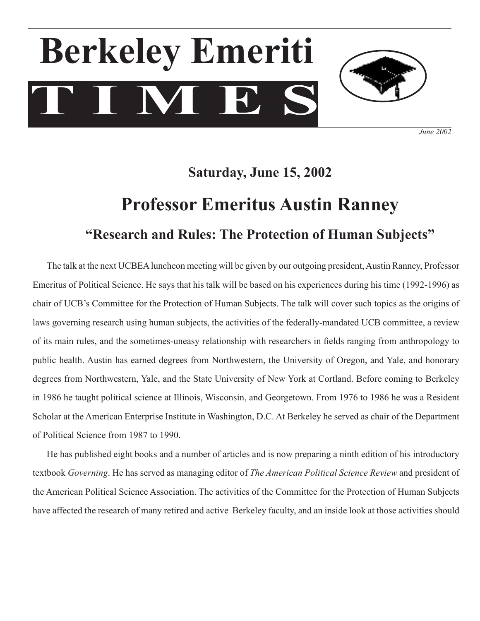# **T I M E S Berkeley Emeriti**



*June 2002*

### **Saturday, June 15, 2002**

## **Professor Emeritus Austin Ranney "Research and Rules: The Protection of Human Subjects"**

The talk at the next UCBEA luncheon meeting will be given by our outgoing president, Austin Ranney, Professor Emeritus of Political Science. He says that his talk will be based on his experiences during his time (1992-1996) as chair of UCB's Committee for the Protection of Human Subjects. The talk will cover such topics as the origins of laws governing research using human subjects, the activities of the federally-mandated UCB committee, a review of its main rules, and the sometimes-uneasy relationship with researchers in fields ranging from anthropology to public health. Austin has earned degrees from Northwestern, the University of Oregon, and Yale, and honorary degrees from Northwestern, Yale, and the State University of New York at Cortland. Before coming to Berkeley in 1986 he taught political science at Illinois, Wisconsin, and Georgetown. From 1976 to 1986 he was a Resident Scholar at the American Enterprise Institute in Washington, D.C. At Berkeley he served as chair of the Department of Political Science from 1987 to 1990.

 He has published eight books and a number of articles and is now preparing a ninth edition of his introductory textbook *Governing*. He has served as managing editor of *The American Political Science Review* and president of the American Political Science Association. The activities of the Committee for the Protection of Human Subjects have affected the research of many retired and active Berkeley faculty, and an inside look at those activities should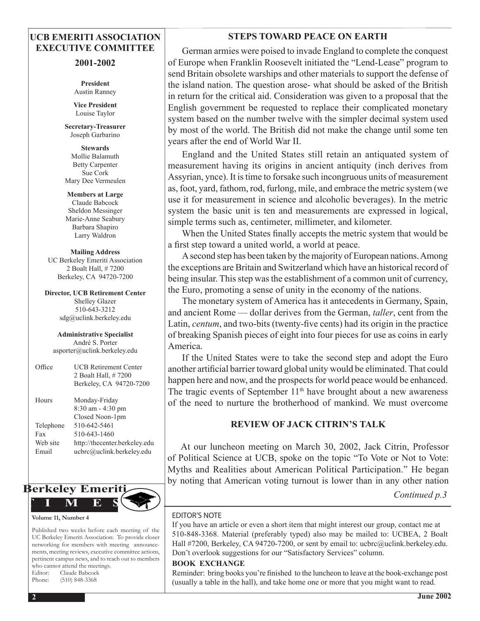#### **UCB EMERITI ASSOCIATION EXECUTIVE COMMITTEE**

#### **2001-2002**

**President** Austin Ranney

**Vice President** Louise Taylor

**Secretary-Treasurer**  Joseph Garbarino

**Stewards** Mollie Balamuth Betty Carpenter Sue Cork Mary Dee Vermeulen

**Members at Large** Claude Babcock Sheldon Messinger Marie-Anne Seabury Barbara Shapiro Larry Waldron

**Mailing Address** UC Berkeley Emeriti Association 2 Boalt Hall, # 7200 Berkeley, CA 94720-7200

**Director, UCB Retirement Center** Shelley Glazer 510-643-3212 sdg@uclink.berkeley.edu

**Administrative Specialist** André S. Porter asporter@uclink.berkeley.edu

Office UCB Retirement Center 2 Boalt Hall, # 7200 Berkeley, CA 94720-7200 Hours Monday-Friday 8:30 am - 4:30 pm Closed Noon-1pm Telephone 510-642-5461 Fax  $510-643-1460$ Web site http://thecenter.berkeley.edu Email ucbrc@uclink.berkeley.edu



#### **Volume 11, Number 4**

Published two weeks before each meeting of the UC Berkeley Emeriti Association: To provide closer networking for members with meeting announcements, meeting reviews, executive committee actions, pertinent campus news, and to reach out to members who cannot attend the meetings. Editor: Claude Babcock Phone: (510) 848-3368

#### **STEPS TOWARD PEACE ON EARTH**

 German armies were poised to invade England to complete the conquest of Europe when Franklin Roosevelt initiated the "Lend-Lease" program to send Britain obsolete warships and other materials to support the defense of the island nation. The question arose- what should be asked of the British in return for the critical aid. Consideration was given to a proposal that the English government be requested to replace their complicated monetary system based on the number twelve with the simpler decimal system used by most of the world. The British did not make the change until some ten years after the end of World War II.

 England and the United States still retain an antiquated system of measurement having its origins in ancient antiquity (inch derives from Assyrian, ynce). It istime to forsake such incongruous units of measurement as, foot, yard, fathom, rod, furlong, mile, and embrace the metric system (we use it for measurement in science and alcoholic beverages). In the metric system the basic unit is ten and measurements are expressed in logical, simple terms such as, centimeter, millimeter, and kilometer.

When the United States finally accepts the metric system that would be a first step toward a united world, a world at peace.

 Asecond step has been taken by the majority of European nations.Among the exceptions are Britain and Switzerland which have an historical record of being insular. This step was the establishment of a common unit of currency, the Euro, promoting a sense of unity in the economy of the nations.

 The monetary system of America has it antecedents in Germany, Spain, and ancient Rome — dollar derives from the German, *taller*, cent from the Latin, *centum*, and two-bits (twenty-five cents) had its origin in the practice of breaking Spanish pieces of eight into four pieces for use as coins in early America.

 If the United States were to take the second step and adopt the Euro another artificial barrier toward global unity would be eliminated. That could happen here and now, and the prospects for world peace would be enhanced. The tragic events of September  $11<sup>th</sup>$  have brought about a new awareness of the need to nurture the brotherhood of mankind. We must overcome

#### **REVIEW OF JACK CITRIN'S TALK**

 At our luncheon meeting on March 30, 2002, Jack Citrin, Professor of Political Science at UCB, spoke on the topic "To Vote or Not to Vote: Myths and Realities about American Political Participation." He began by noting that American voting turnout is lower than in any other nation

*Continued p.3*

#### EDITOR'S NOTE

If you have an article or even a short item that might interest our group, contact me at 510-848-3368. Material (preferably typed) also may be mailed to: UCBEA, 2 Boalt Hall #7200, Berkeley, CA 94720-7200, or sent by email to: ucbrc@uclink.berkeley.edu. Don't overlook suggestions for our "Satisfactory Services" column.

#### **BOOK EXCHANGE**

Reminder: bring books you're finished to the luncheon to leave at the book-exchange post (usually a table in the hall), and take home one or more that you might want to read.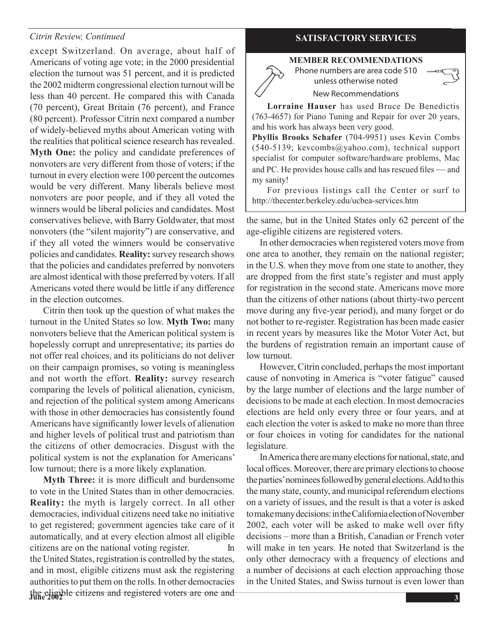#### *Citrin Review, Continued*

except Switzerland. On average, about half of Americans of voting age vote; in the 2000 presidential election the turnout was 51 percent, and it is predicted the 2002 midterm congressional election turnout will be less than 40 percent. He compared this with Canada (70 percent), Great Britain (76 percent), and France (80 percent). Professor Citrin next compared a number of widely-believed myths about American voting with the realities that political science research has revealed. **Myth One:** the policy and candidate preferences of nonvoters are very different from those of voters; if the turnout in every election were 100 percent the outcomes would be very different. Many liberals believe most nonvoters are poor people, and if they all voted the winners would be liberal policies and candidates. Most conservatives believe, with Barry Goldwater, that most nonvoters (the "silent majority") are conservative, and if they all voted the winners would be conservative policies and candidates. **Reality:**survey research shows that the policies and candidates preferred by nonvoters are almost identical with those preferred by voters. If all Americans voted there would be little if any difference in the election outcomes.

 Citrin then took up the question of what makes the turnout in the United States so low. **Myth Two:** many nonvoters believe that the American political system is hopelessly corrupt and unrepresentative; its parties do not offer real choices, and its politicians do not deliver on their campaign promises, so voting is meaningless and not worth the effort. **Reality:** survey research comparing the levels of political alienation, cynicism, and rejection of the political system among Americans with those in other democracies has consistently found Americans have significantly lower levels of alienation and higher levels of political trust and patriotism than the citizens of other democracies. Disgust with the political system is not the explanation for Americans' low turnout; there is a more likely explanation.

**June 2002** the eligible citizens and registered voters are one and **Myth Three:** it is more difficult and burdensome to vote in the United States than in other democracies. **Reality:** the myth is largely correct. In all other democracies, individual citizens need take no initiative to get registered; government agencies take care of it automatically, and at every election almost all eligible citizens are on the national voting register. In the United States, registration is controlled by the states, and in most, eligible citizens must ask the registering authorities to put them on the rolls. In other democracies

#### **SATISFACTORY SERVICES**

#### **MEMBER RECOMMENDATIONS** Phone numbers are area code 510

unless otherwise noted New Recommendations



**Lorraine Hauser** has used Bruce De Benedictis (763-4657) for Piano Tuning and Repair for over 20 years, and his work has always been very good.

**Phyllis Brooks Schafer** (704-9951) uses Kevin Combs (540-5139; kevcombs@yahoo.com), technical support specialist for computer software/hardware problems, Mac and PC. He provides house calls and has rescued files — and my sanity!

 For previous listings call the Center or surf to http://thecenter.berkeley.edu/ucbea-services.htm

the same, but in the United States only 62 percent of the age-eligible citizens are registered voters.

 In other democracies when registered voters move from one area to another, they remain on the national register; in the U.S. when they move from one state to another, they are dropped from the first state's register and must apply for registration in the second state. Americans move more than the citizens of other nations (about thirty-two percent move during any five-year period), and many forget or do not bother to re-register. Registration has been made easier in recent years by measures like the Motor Voter Act, but the burdens of registration remain an important cause of low turnout.

However, Citrin concluded, perhaps the most important cause of nonvoting in America is "voter fatigue" caused by the large number of elections and the large number of decisions to be made at each election. In most democracies elections are held only every three or four years, and at each election the voter is asked to make no more than three or four choices in voting for candidates for the national legislature.

In America there are many elections for national, state, and local offices. Moreover, there are primary elections to choose the parties' nominees followed by general elections. Add to this the many state, county, and municipal referendum elections on a variety of issues, and the result is that a voter is asked tomakemanydecisions:intheCaliforniaelectionofNovember 2002, each voter will be asked to make well over fifty decisions – more than a British, Canadian or French voter will make in ten years. He noted that Switzerland is the only other democracy with a frequency of elections and a number of decisions at each election approaching those in the United States, and Swiss turnout is even lower than